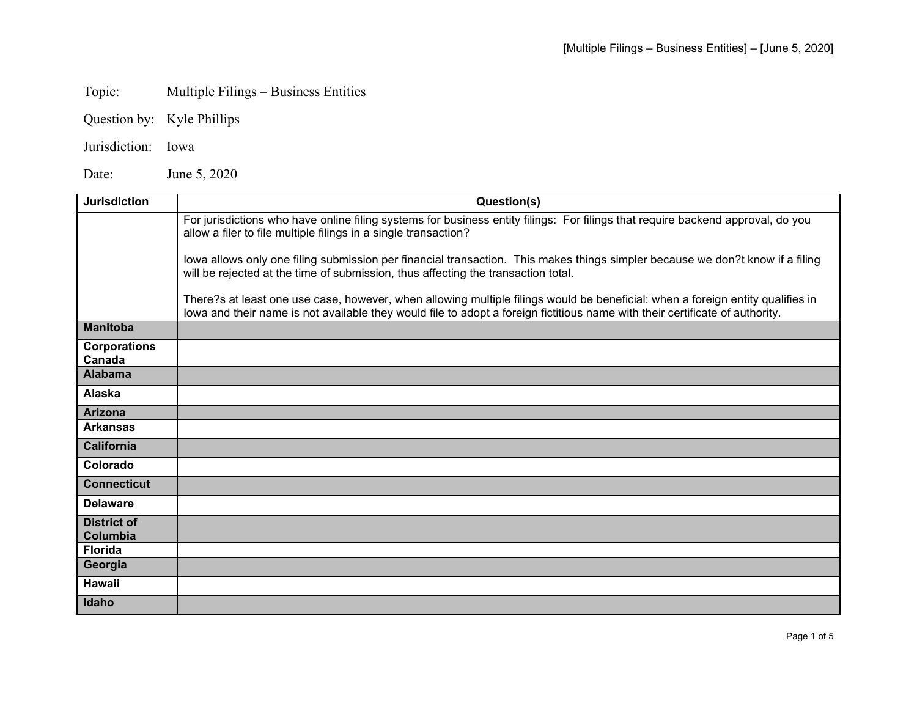## Topic: Multiple Filings – Business Entities

- Question by: Kyle Phillips
- Jurisdiction: Iowa

Date: June 5, 2020

| <b>Jurisdiction</b>            | Question(s)                                                                                                                                                                                                                                                    |
|--------------------------------|----------------------------------------------------------------------------------------------------------------------------------------------------------------------------------------------------------------------------------------------------------------|
|                                | For jurisdictions who have online filing systems for business entity filings: For filings that require backend approval, do you<br>allow a filer to file multiple filings in a single transaction?                                                             |
|                                | lowa allows only one filing submission per financial transaction. This makes things simpler because we don?t know if a filing<br>will be rejected at the time of submission, thus affecting the transaction total.                                             |
|                                | There?s at least one use case, however, when allowing multiple filings would be beneficial: when a foreign entity qualifies in<br>lowa and their name is not available they would file to adopt a foreign fictitious name with their certificate of authority. |
| <b>Manitoba</b>                |                                                                                                                                                                                                                                                                |
| <b>Corporations</b><br>Canada  |                                                                                                                                                                                                                                                                |
| <b>Alabama</b>                 |                                                                                                                                                                                                                                                                |
| Alaska                         |                                                                                                                                                                                                                                                                |
| <b>Arizona</b>                 |                                                                                                                                                                                                                                                                |
| <b>Arkansas</b>                |                                                                                                                                                                                                                                                                |
| <b>California</b>              |                                                                                                                                                                                                                                                                |
| Colorado                       |                                                                                                                                                                                                                                                                |
| <b>Connecticut</b>             |                                                                                                                                                                                                                                                                |
| <b>Delaware</b>                |                                                                                                                                                                                                                                                                |
| <b>District of</b><br>Columbia |                                                                                                                                                                                                                                                                |
| <b>Florida</b>                 |                                                                                                                                                                                                                                                                |
| Georgia                        |                                                                                                                                                                                                                                                                |
| <b>Hawaii</b>                  |                                                                                                                                                                                                                                                                |
| Idaho                          |                                                                                                                                                                                                                                                                |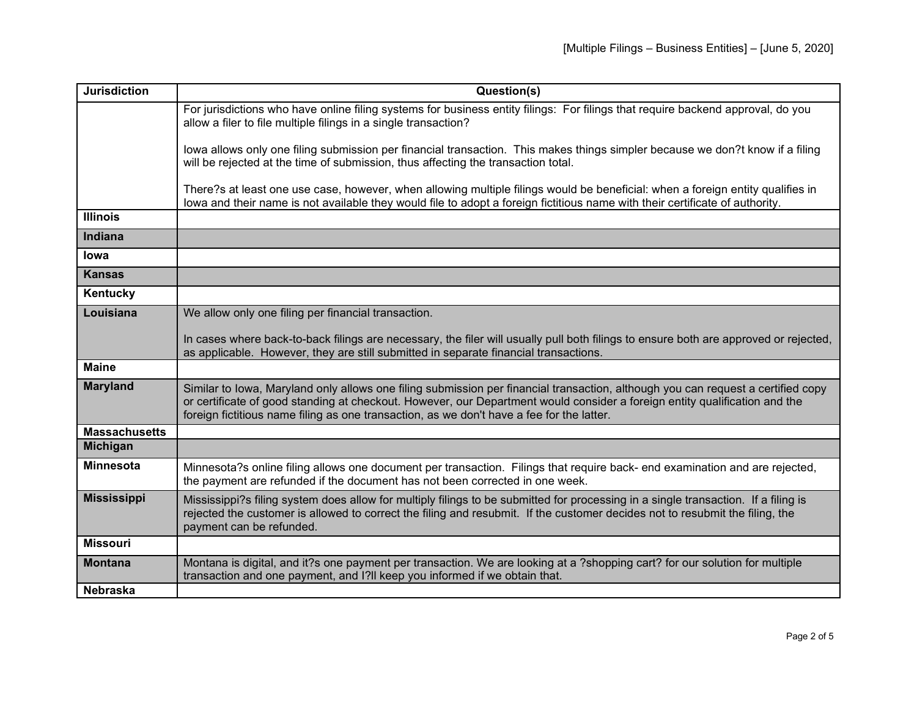| <b>Jurisdiction</b>  | Question(s)                                                                                                                                                                                                                                                                                                                                                 |
|----------------------|-------------------------------------------------------------------------------------------------------------------------------------------------------------------------------------------------------------------------------------------------------------------------------------------------------------------------------------------------------------|
|                      | For jurisdictions who have online filing systems for business entity filings: For filings that require backend approval, do you<br>allow a filer to file multiple filings in a single transaction?                                                                                                                                                          |
|                      | lowa allows only one filing submission per financial transaction. This makes things simpler because we don?t know if a filing<br>will be rejected at the time of submission, thus affecting the transaction total.                                                                                                                                          |
|                      | There?s at least one use case, however, when allowing multiple filings would be beneficial: when a foreign entity qualifies in<br>lowa and their name is not available they would file to adopt a foreign fictitious name with their certificate of authority.                                                                                              |
| <b>Illinois</b>      |                                                                                                                                                                                                                                                                                                                                                             |
| Indiana              |                                                                                                                                                                                                                                                                                                                                                             |
| lowa                 |                                                                                                                                                                                                                                                                                                                                                             |
| <b>Kansas</b>        |                                                                                                                                                                                                                                                                                                                                                             |
| Kentucky             |                                                                                                                                                                                                                                                                                                                                                             |
| Louisiana            | We allow only one filing per financial transaction.                                                                                                                                                                                                                                                                                                         |
|                      | In cases where back-to-back filings are necessary, the filer will usually pull both filings to ensure both are approved or rejected,<br>as applicable. However, they are still submitted in separate financial transactions.                                                                                                                                |
| <b>Maine</b>         |                                                                                                                                                                                                                                                                                                                                                             |
| <b>Maryland</b>      | Similar to lowa, Maryland only allows one filing submission per financial transaction, although you can request a certified copy<br>or certificate of good standing at checkout. However, our Department would consider a foreign entity qualification and the<br>foreign fictitious name filing as one transaction, as we don't have a fee for the latter. |
| <b>Massachusetts</b> |                                                                                                                                                                                                                                                                                                                                                             |
| <b>Michigan</b>      |                                                                                                                                                                                                                                                                                                                                                             |
| <b>Minnesota</b>     | Minnesota?s online filing allows one document per transaction. Filings that require back- end examination and are rejected,<br>the payment are refunded if the document has not been corrected in one week.                                                                                                                                                 |
| <b>Mississippi</b>   | Mississippi?s filing system does allow for multiply filings to be submitted for processing in a single transaction. If a filing is<br>rejected the customer is allowed to correct the filing and resubmit. If the customer decides not to resubmit the filing, the<br>payment can be refunded.                                                              |
| <b>Missouri</b>      |                                                                                                                                                                                                                                                                                                                                                             |
| <b>Montana</b>       | Montana is digital, and it?s one payment per transaction. We are looking at a ?shopping cart? for our solution for multiple<br>transaction and one payment, and I?II keep you informed if we obtain that.                                                                                                                                                   |
| Nebraska             |                                                                                                                                                                                                                                                                                                                                                             |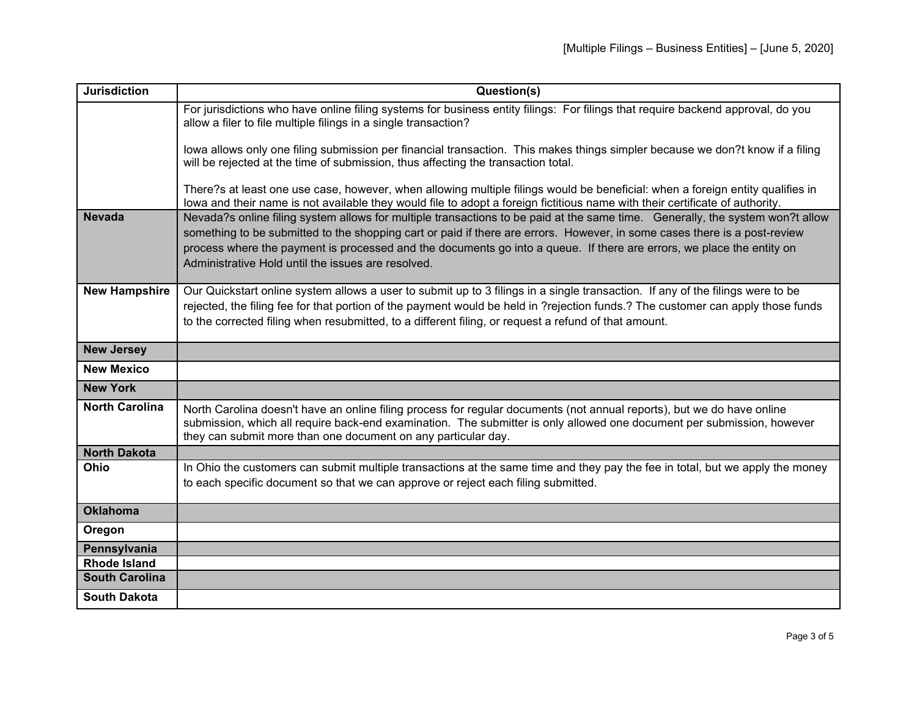| <b>Jurisdiction</b>   | Question(s)                                                                                                                                                                                                                                                                                                                                                                                                                               |
|-----------------------|-------------------------------------------------------------------------------------------------------------------------------------------------------------------------------------------------------------------------------------------------------------------------------------------------------------------------------------------------------------------------------------------------------------------------------------------|
|                       | For jurisdictions who have online filing systems for business entity filings: For filings that require backend approval, do you<br>allow a filer to file multiple filings in a single transaction?                                                                                                                                                                                                                                        |
|                       | lowa allows only one filing submission per financial transaction. This makes things simpler because we don?t know if a filing<br>will be rejected at the time of submission, thus affecting the transaction total.                                                                                                                                                                                                                        |
|                       | There?s at least one use case, however, when allowing multiple filings would be beneficial: when a foreign entity qualifies in<br>lowa and their name is not available they would file to adopt a foreign fictitious name with their certificate of authority.                                                                                                                                                                            |
| <b>Nevada</b>         | Nevada?s online filing system allows for multiple transactions to be paid at the same time. Generally, the system won?t allow<br>something to be submitted to the shopping cart or paid if there are errors. However, in some cases there is a post-review<br>process where the payment is processed and the documents go into a queue. If there are errors, we place the entity on<br>Administrative Hold until the issues are resolved. |
| <b>New Hampshire</b>  | Our Quickstart online system allows a user to submit up to 3 filings in a single transaction. If any of the filings were to be<br>rejected, the filing fee for that portion of the payment would be held in ?rejection funds.? The customer can apply those funds<br>to the corrected filing when resubmitted, to a different filing, or request a refund of that amount.                                                                 |
| <b>New Jersey</b>     |                                                                                                                                                                                                                                                                                                                                                                                                                                           |
| <b>New Mexico</b>     |                                                                                                                                                                                                                                                                                                                                                                                                                                           |
| <b>New York</b>       |                                                                                                                                                                                                                                                                                                                                                                                                                                           |
| <b>North Carolina</b> | North Carolina doesn't have an online filing process for regular documents (not annual reports), but we do have online<br>submission, which all require back-end examination. The submitter is only allowed one document per submission, however<br>they can submit more than one document on any particular day.                                                                                                                         |
| <b>North Dakota</b>   |                                                                                                                                                                                                                                                                                                                                                                                                                                           |
| Ohio                  | In Ohio the customers can submit multiple transactions at the same time and they pay the fee in total, but we apply the money<br>to each specific document so that we can approve or reject each filing submitted.                                                                                                                                                                                                                        |
| <b>Oklahoma</b>       |                                                                                                                                                                                                                                                                                                                                                                                                                                           |
| Oregon                |                                                                                                                                                                                                                                                                                                                                                                                                                                           |
| Pennsylvania          |                                                                                                                                                                                                                                                                                                                                                                                                                                           |
| <b>Rhode Island</b>   |                                                                                                                                                                                                                                                                                                                                                                                                                                           |
| <b>South Carolina</b> |                                                                                                                                                                                                                                                                                                                                                                                                                                           |
| <b>South Dakota</b>   |                                                                                                                                                                                                                                                                                                                                                                                                                                           |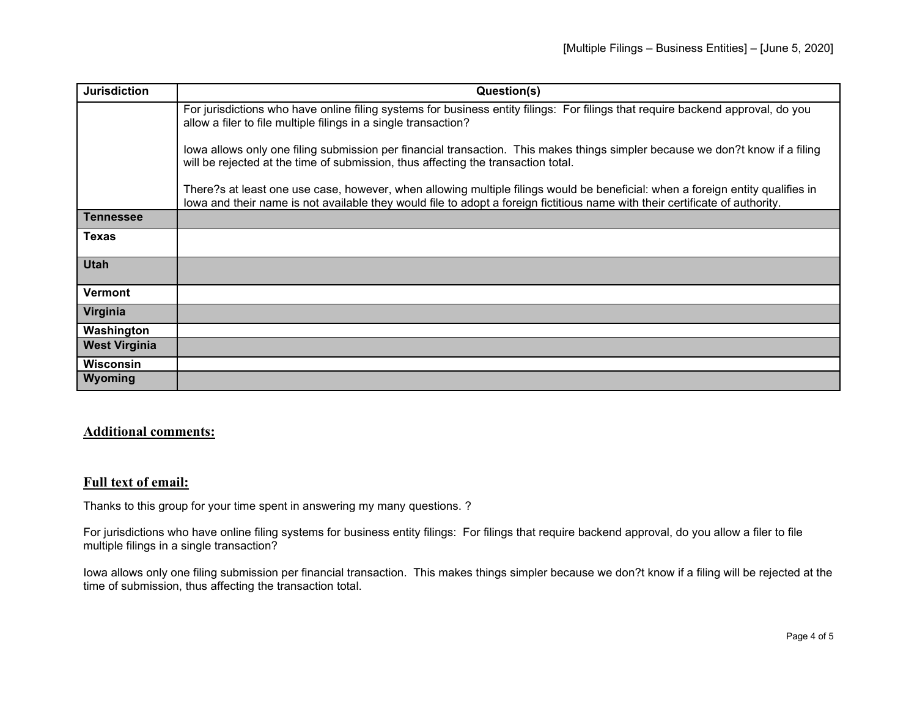| <b>Jurisdiction</b>  | Question(s)                                                                                                                                                                                                                                                    |
|----------------------|----------------------------------------------------------------------------------------------------------------------------------------------------------------------------------------------------------------------------------------------------------------|
|                      | For jurisdictions who have online filing systems for business entity filings: For filings that require backend approval, do you<br>allow a filer to file multiple filings in a single transaction?                                                             |
|                      | lowa allows only one filing submission per financial transaction. This makes things simpler because we don?t know if a filing<br>will be rejected at the time of submission, thus affecting the transaction total.                                             |
|                      | There?s at least one use case, however, when allowing multiple filings would be beneficial: when a foreign entity qualifies in<br>lowa and their name is not available they would file to adopt a foreign fictitious name with their certificate of authority. |
| <b>Tennessee</b>     |                                                                                                                                                                                                                                                                |
| <b>Texas</b>         |                                                                                                                                                                                                                                                                |
| <b>Utah</b>          |                                                                                                                                                                                                                                                                |
| Vermont              |                                                                                                                                                                                                                                                                |
| Virginia             |                                                                                                                                                                                                                                                                |
| Washington           |                                                                                                                                                                                                                                                                |
| <b>West Virginia</b> |                                                                                                                                                                                                                                                                |
| <b>Wisconsin</b>     |                                                                                                                                                                                                                                                                |
| Wyoming              |                                                                                                                                                                                                                                                                |

## **Additional comments:**

## **Full text of email:**

Thanks to this group for your time spent in answering my many questions. ?

For jurisdictions who have online filing systems for business entity filings: For filings that require backend approval, do you allow a filer to file multiple filings in a single transaction?

Iowa allows only one filing submission per financial transaction. This makes things simpler because we don?t know if a filing will be rejected at the time of submission, thus affecting the transaction total.